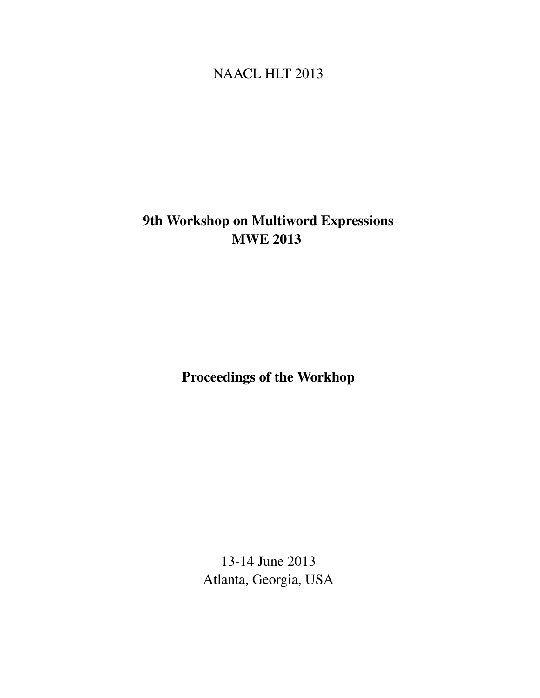# <span id="page-0-0"></span>NAACL HLT 2013

# 9th Workshop on Multiword Expressions MWE 2013

Proceedings of the Workhop

13-14 June 2013 Atlanta, Georgia, USA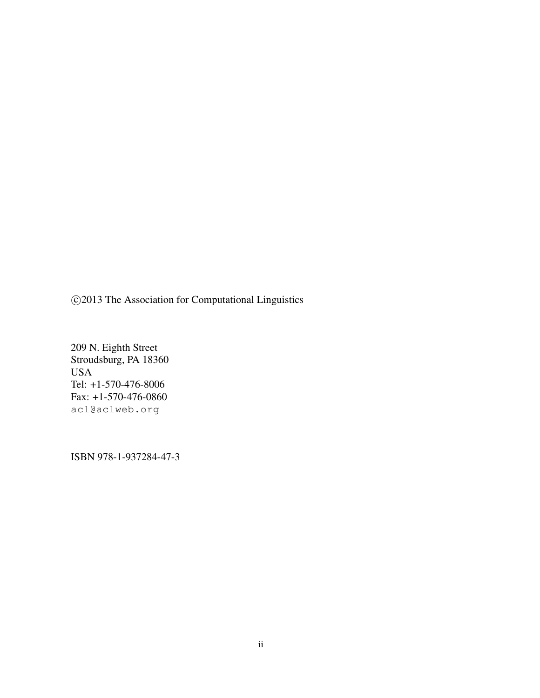c 2013 The Association for Computational Linguistics

209 N. Eighth Street Stroudsburg, PA 18360 USA Tel: +1-570-476-8006 Fax: +1-570-476-0860 acl@aclweb.org

ISBN 978-1-937284-47-3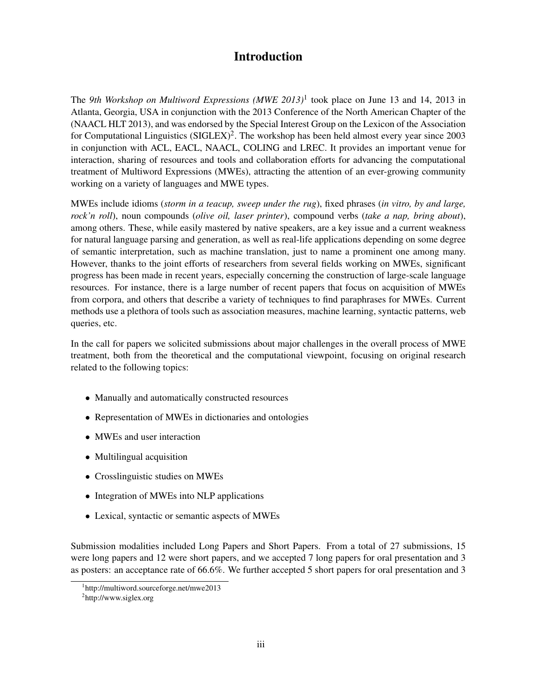# Introduction

The *9th Workshop on Multiword Expressions (MWE 2013)*<sup>1</sup> took place on June 13 and 14, 2013 in Atlanta, Georgia, USA in conjunction with the 2013 Conference of the North American Chapter of the (NAACL HLT 2013), and was endorsed by the Special Interest Group on the Lexicon of the Association for Computational Linguistics  $(SIGLEX)^2$ . The workshop has been held almost every year since 2003 in conjunction with ACL, EACL, NAACL, COLING and LREC. It provides an important venue for interaction, sharing of resources and tools and collaboration efforts for advancing the computational treatment of Multiword Expressions (MWEs), attracting the attention of an ever-growing community working on a variety of languages and MWE types.

MWEs include idioms (*storm in a teacup, sweep under the rug*), fixed phrases (*in vitro, by and large, rock'n roll*), noun compounds (*olive oil, laser printer*), compound verbs (*take a nap, bring about*), among others. These, while easily mastered by native speakers, are a key issue and a current weakness for natural language parsing and generation, as well as real-life applications depending on some degree of semantic interpretation, such as machine translation, just to name a prominent one among many. However, thanks to the joint efforts of researchers from several fields working on MWEs, significant progress has been made in recent years, especially concerning the construction of large-scale language resources. For instance, there is a large number of recent papers that focus on acquisition of MWEs from corpora, and others that describe a variety of techniques to find paraphrases for MWEs. Current methods use a plethora of tools such as association measures, machine learning, syntactic patterns, web queries, etc.

In the call for papers we solicited submissions about major challenges in the overall process of MWE treatment, both from the theoretical and the computational viewpoint, focusing on original research related to the following topics:

- Manually and automatically constructed resources
- Representation of MWEs in dictionaries and ontologies
- MWEs and user interaction
- Multilingual acquisition
- Crosslinguistic studies on MWEs
- Integration of MWEs into NLP applications
- Lexical, syntactic or semantic aspects of MWEs

Submission modalities included Long Papers and Short Papers. From a total of 27 submissions, 15 were long papers and 12 were short papers, and we accepted 7 long papers for oral presentation and 3 as posters: an acceptance rate of 66.6%. We further accepted 5 short papers for oral presentation and 3

<sup>1</sup> http://multiword.sourceforge.net/mwe2013

<sup>&</sup>lt;sup>2</sup>http://www.siglex.org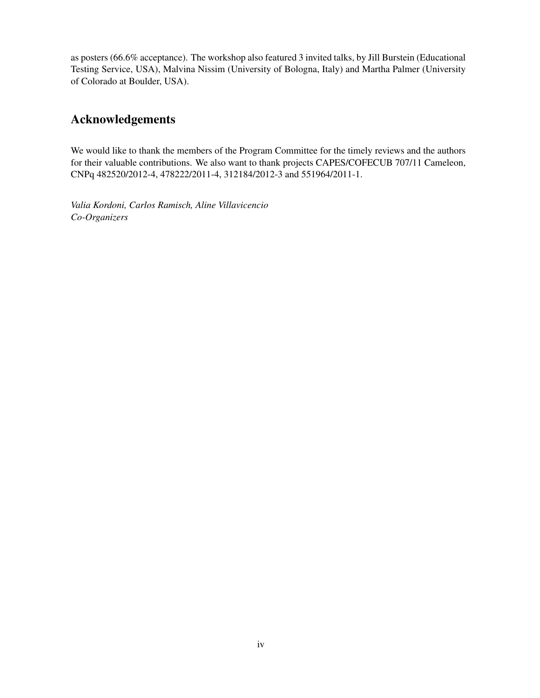as posters (66.6% acceptance). The workshop also featured 3 invited talks, by Jill Burstein (Educational Testing Service, USA), Malvina Nissim (University of Bologna, Italy) and Martha Palmer (University of Colorado at Boulder, USA).

# Acknowledgements

We would like to thank the members of the Program Committee for the timely reviews and the authors for their valuable contributions. We also want to thank projects CAPES/COFECUB 707/11 Cameleon, CNPq 482520/2012-4, 478222/2011-4, 312184/2012-3 and 551964/2011-1.

*Valia Kordoni, Carlos Ramisch, Aline Villavicencio Co-Organizers*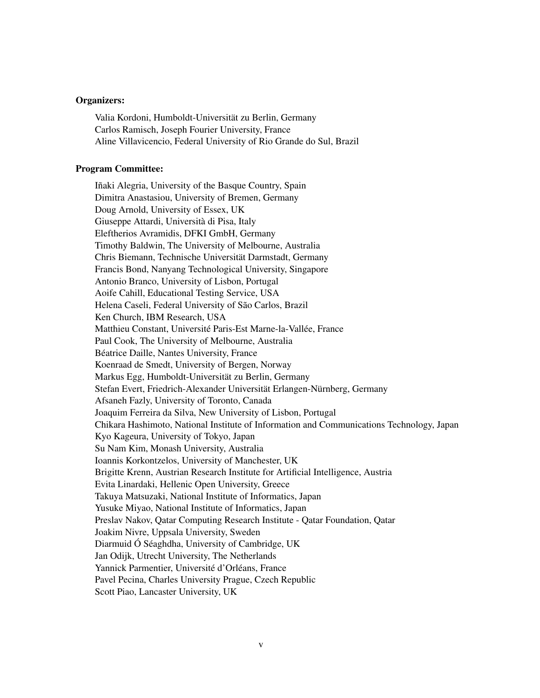#### Organizers:

Valia Kordoni, Humboldt-Universität zu Berlin, Germany Carlos Ramisch, Joseph Fourier University, France Aline Villavicencio, Federal University of Rio Grande do Sul, Brazil

#### Program Committee:

Iñaki Alegria, University of the Basque Country, Spain Dimitra Anastasiou, University of Bremen, Germany Doug Arnold, University of Essex, UK Giuseppe Attardi, Università di Pisa, Italy Eleftherios Avramidis, DFKI GmbH, Germany Timothy Baldwin, The University of Melbourne, Australia Chris Biemann, Technische Universität Darmstadt, Germany Francis Bond, Nanyang Technological University, Singapore Antonio Branco, University of Lisbon, Portugal Aoife Cahill, Educational Testing Service, USA Helena Caseli, Federal University of São Carlos, Brazil Ken Church, IBM Research, USA Matthieu Constant, Université Paris-Est Marne-la-Vallée, France Paul Cook, The University of Melbourne, Australia Béatrice Daille, Nantes University, France Koenraad de Smedt, University of Bergen, Norway Markus Egg, Humboldt-Universität zu Berlin, Germany Stefan Evert, Friedrich-Alexander Universität Erlangen-Nürnberg, Germany Afsaneh Fazly, University of Toronto, Canada Joaquim Ferreira da Silva, New University of Lisbon, Portugal Chikara Hashimoto, National Institute of Information and Communications Technology, Japan Kyo Kageura, University of Tokyo, Japan Su Nam Kim, Monash University, Australia Ioannis Korkontzelos, University of Manchester, UK Brigitte Krenn, Austrian Research Institute for Artificial Intelligence, Austria Evita Linardaki, Hellenic Open University, Greece Takuya Matsuzaki, National Institute of Informatics, Japan Yusuke Miyao, National Institute of Informatics, Japan Preslav Nakov, Qatar Computing Research Institute - Qatar Foundation, Qatar Joakim Nivre, Uppsala University, Sweden Diarmuid Ó Séaghdha, University of Cambridge, UK Jan Odijk, Utrecht University, The Netherlands Yannick Parmentier, Université d'Orléans, France Pavel Pecina, Charles University Prague, Czech Republic Scott Piao, Lancaster University, UK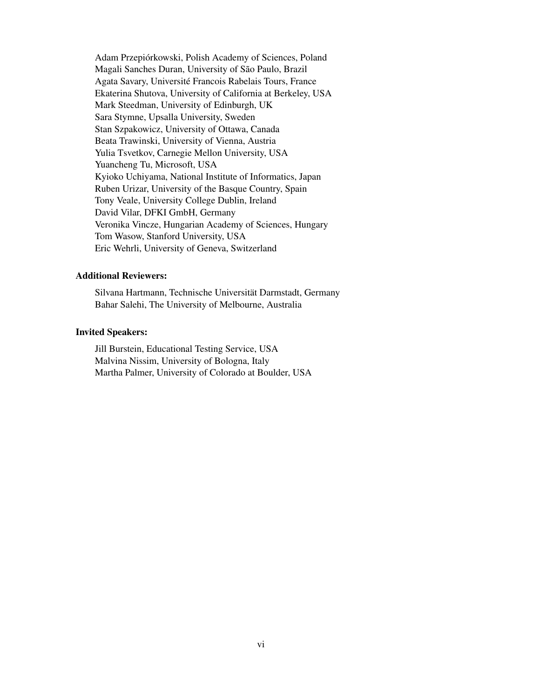Adam Przepiórkowski, Polish Academy of Sciences, Poland Magali Sanches Duran, University of São Paulo, Brazil Agata Savary, Université Francois Rabelais Tours, France Ekaterina Shutova, University of California at Berkeley, USA Mark Steedman, University of Edinburgh, UK Sara Stymne, Upsalla University, Sweden Stan Szpakowicz, University of Ottawa, Canada Beata Trawinski, University of Vienna, Austria Yulia Tsvetkov, Carnegie Mellon University, USA Yuancheng Tu, Microsoft, USA Kyioko Uchiyama, National Institute of Informatics, Japan Ruben Urizar, University of the Basque Country, Spain Tony Veale, University College Dublin, Ireland David Vilar, DFKI GmbH, Germany Veronika Vincze, Hungarian Academy of Sciences, Hungary Tom Wasow, Stanford University, USA Eric Wehrli, University of Geneva, Switzerland

### Additional Reviewers:

Silvana Hartmann, Technische Universität Darmstadt, Germany Bahar Salehi, The University of Melbourne, Australia

#### Invited Speakers:

Jill Burstein, Educational Testing Service, USA Malvina Nissim, University of Bologna, Italy Martha Palmer, University of Colorado at Boulder, USA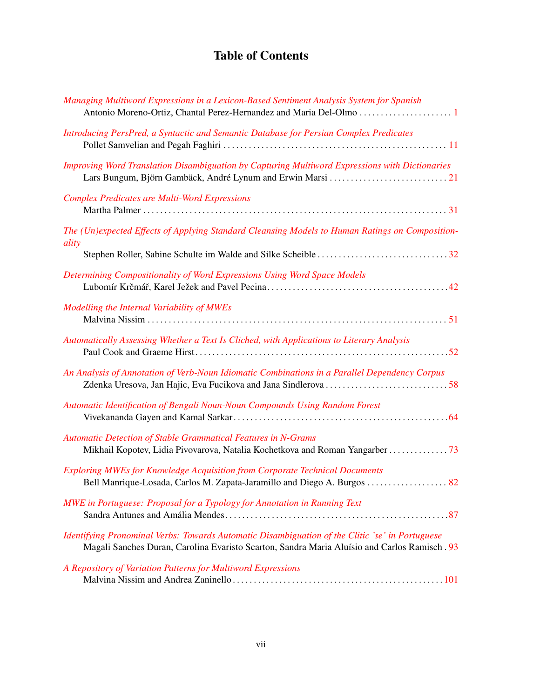# Table of Contents

| Managing Multiword Expressions in a Lexicon-Based Sentiment Analysis System for Spanish<br>Antonio Moreno-Ortiz, Chantal Perez-Hernandez and Maria Del-Olmo 1                                   |
|-------------------------------------------------------------------------------------------------------------------------------------------------------------------------------------------------|
| Introducing PersPred, a Syntactic and Semantic Database for Persian Complex Predicates                                                                                                          |
| <b>Improving Word Translation Disambiguation by Capturing Multiword Expressions with Dictionaries</b>                                                                                           |
| <b>Complex Predicates are Multi-Word Expressions</b>                                                                                                                                            |
| The (Un)expected Effects of Applying Standard Cleansing Models to Human Ratings on Composition-<br>ality                                                                                        |
|                                                                                                                                                                                                 |
| Determining Compositionality of Word Expressions Using Word Space Models                                                                                                                        |
| Modelling the Internal Variability of MWEs                                                                                                                                                      |
| Automatically Assessing Whether a Text Is Cliched, with Applications to Literary Analysis                                                                                                       |
| An Analysis of Annotation of Verb-Noun Idiomatic Combinations in a Parallel Dependency Corpus                                                                                                   |
| Automatic Identification of Bengali Noun-Noun Compounds Using Random Forest                                                                                                                     |
| <b>Automatic Detection of Stable Grammatical Features in N-Grams</b>                                                                                                                            |
| <b>Exploring MWEs for Knowledge Acquisition from Corporate Technical Documents</b>                                                                                                              |
| MWE in Portuguese: Proposal for a Typology for Annotation in Running Text                                                                                                                       |
| Identifying Pronominal Verbs: Towards Automatic Disambiguation of the Clitic 'se' in Portuguese<br>Magali Sanches Duran, Carolina Evaristo Scarton, Sandra Maria Aluísio and Carlos Ramisch. 93 |
| A Repository of Variation Patterns for Multiword Expressions                                                                                                                                    |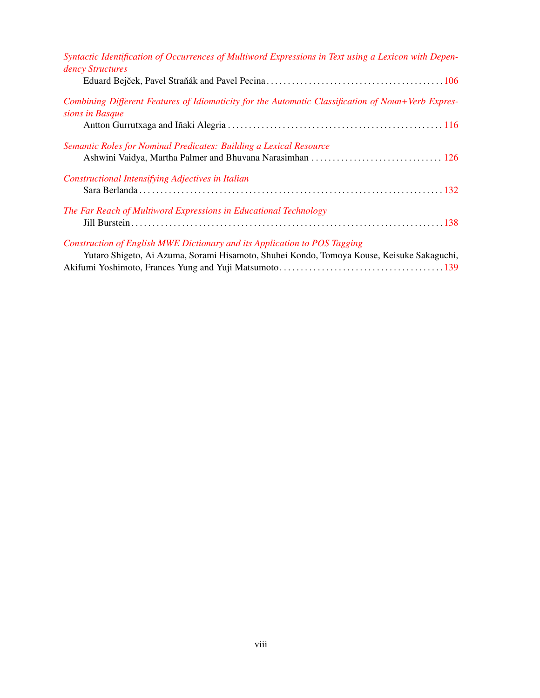| Syntactic Identification of Occurrences of Multiword Expressions in Text using a Lexicon with Depen-                  |
|-----------------------------------------------------------------------------------------------------------------------|
| dency Structures                                                                                                      |
|                                                                                                                       |
| Combining Different Features of Idiomaticity for the Automatic Classification of Noun+Verb Expres-<br>sions in Basque |
|                                                                                                                       |
| Semantic Roles for Nominal Predicates: Building a Lexical Resource                                                    |
|                                                                                                                       |
| Constructional Intensifying Adjectives in Italian                                                                     |
|                                                                                                                       |
| The Far Reach of Multiword Expressions in Educational Technology                                                      |
|                                                                                                                       |
| Construction of English MWE Dictionary and its Application to POS Tagging                                             |
| Yutaro Shigeto, Ai Azuma, Sorami Hisamoto, Shuhei Kondo, Tomoya Kouse, Keisuke Sakaguchi,                             |
|                                                                                                                       |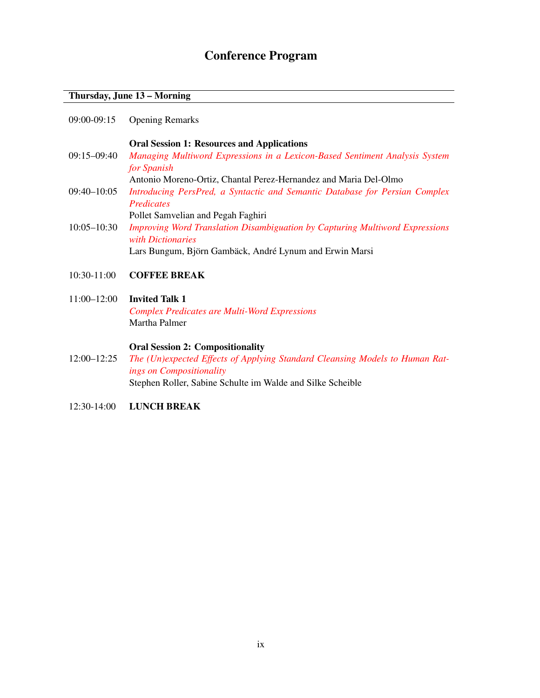# Conference Program

### Thursday, June 13 – Morning

|             | <b>Oral Session 1: Resources and Applications</b>                           |
|-------------|-----------------------------------------------------------------------------|
| 09:15-09:40 | Managing Multiword Expressions in a Lexicon-Based Sentiment Analysis System |
|             | for Spanish                                                                 |
|             |                                                                             |

- Antonio Moreno-Ortiz, Chantal Perez-Hernandez and Maria Del-Olmo 09:40–10:05 *[Introducing PersPred, a Syntactic and Semantic Database for Persian Complex](#page-0-0) [Predicates](#page-0-0)*
- Pollet Samvelian and Pegah Faghiri 10:05–10:30 *[Improving Word Translation Disambiguation by Capturing Multiword Expressions](#page-0-0) [with Dictionaries](#page-0-0)* Lars Bungum, Björn Gambäck, André Lynum and Erwin Marsi

#### 10:30-11:00 COFFEE BREAK

11:00–12:00 Invited Talk 1 *[Complex Predicates are Multi-Word Expressions](#page-0-0)* Martha Palmer

#### Oral Session 2: Compositionality

- 12:00–12:25 *[The \(Un\)expected Effects of Applying Standard Cleansing Models to Human Rat](#page-0-0)[ings on Compositionality](#page-0-0)* Stephen Roller, Sabine Schulte im Walde and Silke Scheible
- 12:30-14:00 LUNCH BREAK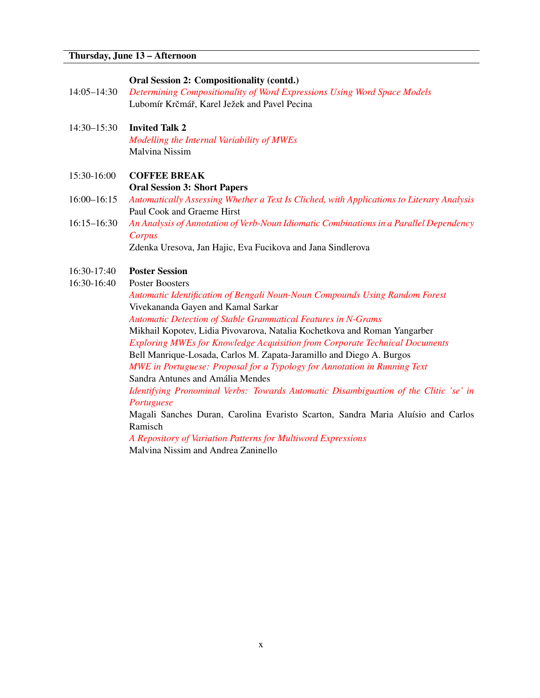### Oral Session 2: Compositionality (contd.)

- 14:05–14:30 *[Determining Compositionality of Word Expressions Using Word Space Models](#page-0-0)* Lubomír Krčmář, Karel Ježek and Pavel Pecina
- 14:30–15:30 Invited Talk 2 *[Modelling the Internal Variability of MWEs](#page-0-0)* Malvina Nissim

### 15:30-16:00 COFFEE BREAK

Oral Session 3: Short Papers

- 16:00–16:15 *[Automatically Assessing Whether a Text Is Cliched, with Applications to Literary Analysis](#page-0-0)* Paul Cook and Graeme Hirst
- 16:15–16:30 *[An Analysis of Annotation of Verb-Noun Idiomatic Combinations in a Parallel Dependency](#page-0-0) [Corpus](#page-0-0)*

Zdenka Uresova, Jan Hajic, Eva Fucikova and Jana Sindlerova

# 16:30-17:40 Poster Session

16:30-16:40 Poster Boosters

*[Automatic Identification of Bengali Noun-Noun Compounds Using Random Forest](#page-0-0)* Vivekananda Gayen and Kamal Sarkar

*[Automatic Detection of Stable Grammatical Features in N-Grams](#page-0-0)*

Mikhail Kopotev, Lidia Pivovarova, Natalia Kochetkova and Roman Yangarber *[Exploring MWEs for Knowledge Acquisition from Corporate Technical Documents](#page-0-0)*

Bell Manrique-Losada, Carlos M. Zapata-Jaramillo and Diego A. Burgos

*[MWE in Portuguese: Proposal for a Typology for Annotation in Running Text](#page-0-0)* Sandra Antunes and Amália Mendes

*[Identifying Pronominal Verbs: Towards Automatic Disambiguation of the Clitic 'se' in](#page-0-0) [Portuguese](#page-0-0)*

Magali Sanches Duran, Carolina Evaristo Scarton, Sandra Maria Aluísio and Carlos Ramisch

*[A Repository of Variation Patterns for Multiword Expressions](#page-0-0)* Malvina Nissim and Andrea Zaninello